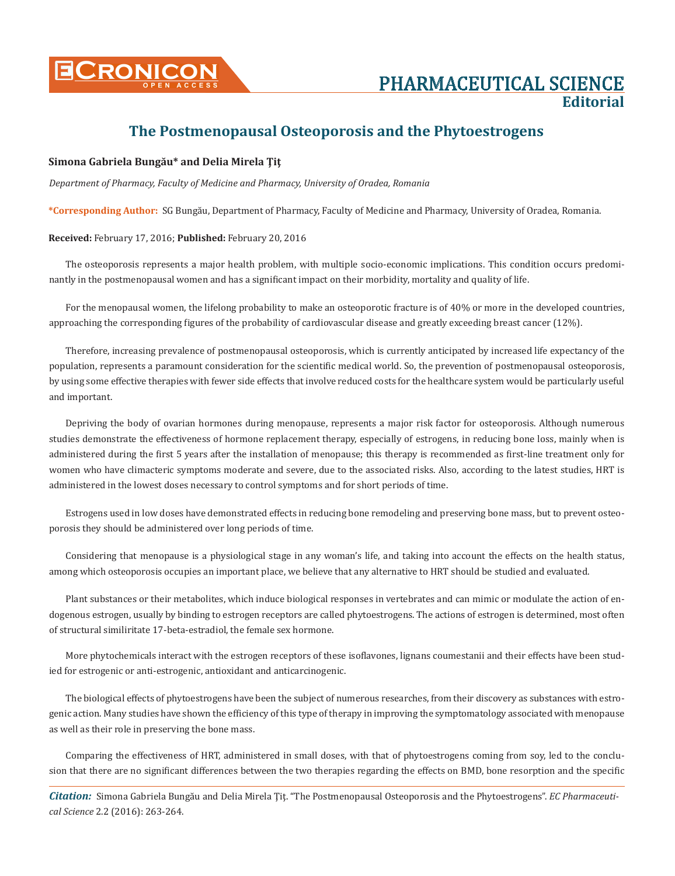

# **The Postmenopausal Osteoporosis and the Phytoestrogens**

### **Simona Gabriela Bungău\* and Delia Mirela Ţiţ**

*Department of Pharmacy, Faculty of Medicine and Pharmacy, University of Oradea, Romania*

**\*Corresponding Author:** SG Bungău, Department of Pharmacy, Faculty of Medicine and Pharmacy, University of Oradea, Romania.

#### **Received:** February 17, 2016; **Published:** February 20, 2016

The osteoporosis represents a major health problem, with multiple socio-economic implications. This condition occurs predominantly in the postmenopausal women and has a significant impact on their morbidity, mortality and quality of life.

For the menopausal women, the lifelong probability to make an osteoporotic fracture is of 40% or more in the developed countries, approaching the corresponding figures of the probability of cardiovascular disease and greatly exceeding breast cancer (12%).

Therefore, increasing prevalence of postmenopausal osteoporosis, which is currently anticipated by increased life expectancy of the population, represents a paramount consideration for the scientific medical world. So, the prevention of postmenopausal osteoporosis, by using some effective therapies with fewer side effects that involve reduced costs for the healthcare system would be particularly useful and important.

Depriving the body of ovarian hormones during menopause, represents a major risk factor for osteoporosis. Although numerous studies demonstrate the effectiveness of hormone replacement therapy, especially of estrogens, in reducing bone loss, mainly when is administered during the first 5 years after the installation of menopause; this therapy is recommended as first-line treatment only for women who have climacteric symptoms moderate and severe, due to the associated risks. Also, according to the latest studies, HRT is administered in the lowest doses necessary to control symptoms and for short periods of time.

Estrogens used in low doses have demonstrated effects in reducing bone remodeling and preserving bone mass, but to prevent osteoporosis they should be administered over long periods of time.

Considering that menopause is a physiological stage in any woman's life, and taking into account the effects on the health status, among which osteoporosis occupies an important place, we believe that any alternative to HRT should be studied and evaluated.

Plant substances or their metabolites, which induce biological responses in vertebrates and can mimic or modulate the action of endogenous estrogen, usually by binding to estrogen receptors are called phytoestrogens. The actions of estrogen is determined, most often of structural similiritate 17-beta-estradiol, the female sex hormone.

More phytochemicals interact with the estrogen receptors of these isoflavones, lignans coumestanii and their effects have been studied for estrogenic or anti-estrogenic, antioxidant and anticarcinogenic.

The biological effects of phytoestrogens have been the subject of numerous researches, from their discovery as substances with estrogenic action. Many studies have shown the efficiency of this type of therapy in improving the symptomatology associated with menopause as well as their role in preserving the bone mass.

Comparing the effectiveness of HRT, administered in small doses, with that of phytoestrogens coming from soy, led to the conclusion that there are no significant differences between the two therapies regarding the effects on BMD, bone resorption and the specific

*Citation:* Simona Gabriela Bungău and Delia Mirela Ţiţ. "The Postmenopausal Osteoporosis and the Phytoestrogens". *EC Pharmaceutical Science* 2.2 (2016): 263-264.